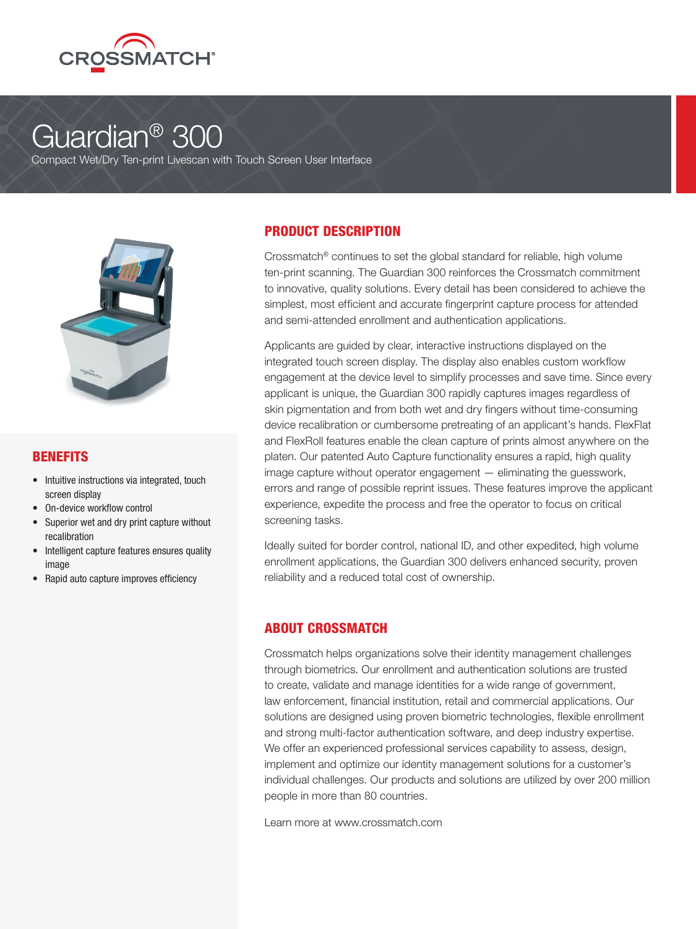

# Guardian® 300

Compact Wet/Dry Ten-print Livescan with Touch Screen User Interface



#### BENEFITS

- Intuitive instructions via integrated, touch screen display
- On-device workflow control
- Superior wet and dry print capture without recalibration
- Intelligent capture features ensures quality image
- Rapid auto capture improves efficiency

### PRODUCT DESCRIPTION

Crossmatch® continues to set the global standard for reliable, high volume ten-print scanning. The Guardian 300 reinforces the Crossmatch commitment to innovative, quality solutions. Every detail has been considered to achieve the simplest, most efficient and accurate fingerprint capture process for attended and semi-attended enrollment and authentication applications.

Applicants are guided by clear, interactive instructions displayed on the integrated touch screen display. The display also enables custom workflow engagement at the device level to simplify processes and save time. Since every applicant is unique, the Guardian 300 rapidly captures images regardless of skin pigmentation and from both wet and dry fingers without time-consuming device recalibration or cumbersome pretreating of an applicant's hands. FlexFlat and FlexRoll features enable the clean capture of prints almost anywhere on the platen. Our patented Auto Capture functionality ensures a rapid, high quality image capture without operator engagement — eliminating the guesswork, errors and range of possible reprint issues. These features improve the applicant experience, expedite the process and free the operator to focus on critical screening tasks.

Ideally suited for border control, national ID, and other expedited, high volume enrollment applications, the Guardian 300 delivers enhanced security, proven reliability and a reduced total cost of ownership.

#### ABOUT CROSSMATCH

Crossmatch helps organizations solve their identity management challenges through biometrics. Our enrollment and authentication solutions are trusted to create, validate and manage identities for a wide range of government, law enforcement, financial institution, retail and commercial applications. Our solutions are designed using proven biometric technologies, flexible enrollment and strong multi-factor authentication software, and deep industry expertise. We offer an experienced professional services capability to assess, design, implement and optimize our identity management solutions for a customer's individual challenges. Our products and solutions are utilized by over 200 million people in more than 80 countries.

Learn more at www.crossmatch.com